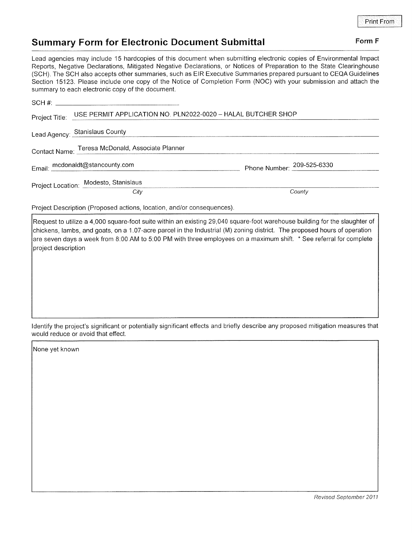## Summary Form for Electronic Document Submittal Form F

Lead agencies may include 15 hardcopies of this document when submitting electronic copies of Environmental lmpact Reporls, Negative Declarations, Mitigated Negative Declarations, or Notices of Preparation to the State Clearinghouse (SCH). The SCH also accepts other summaries, such as EIR Executive Summaries prepared pursuant to CEQA Guidelines Section 15123. Please include one copy of the Notice of Completion Form (NOC) with your submission and attach the summary to each electronic copy of the document.

|                                 | Project Title: USE PERMIT APPLICATION NO. PLN2022-0020 - HALAL BUTCHER SHOP |                                                                  |
|---------------------------------|-----------------------------------------------------------------------------|------------------------------------------------------------------|
|                                 |                                                                             | Lead Agency: Stanislaus County<br>Lead Agency: Stanislaus County |
|                                 | Contact Name: Teresa McDonald, Associate Planner                            |                                                                  |
| Email: mcdonaldt@stancounty.com |                                                                             | Phone Number: 209-525-6330                                       |
|                                 | Project Location: Modesto, Stanislaus                                       |                                                                  |
|                                 | City                                                                        | County                                                           |
|                                 |                                                                             |                                                                  |

Project Description (Proposed actions, location, and/or consequences)

Request to utilize a 4,000 square-foot suite within an existing 29,040 square-foot warehouse building for the slaughter of chickens, lambs, and goats, on a 1.07-acre parcel in the Industrial (M) zoning district. The proposed hours of operation are seven days a week from 8:00 AM to 5:00 PM with three employees on a maximum shift. \* See referral for complete project description

ldentify the project's significant or potentially significant effects and briefly describe any proposed mitigation measures that would reduce or avoid that effect.

None yet known